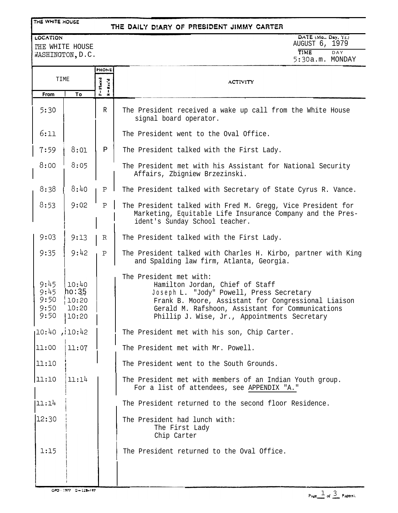### THE WHITE HOUSE

## THE DAILY DIARY OF PRESIDENT JIMMY CARTER

LOCATION THE WHITE HOUSE WASHINGTON, D.C. DATE (MO., Day, Yr.)<br>AUGUST 6, 1979 **T1ME** DAY **5:30** a.m. MONDAY

|                                      |                                           | <b>PHONE</b>                                                        |                                                                                                                                                                                                                                                                   |
|--------------------------------------|-------------------------------------------|---------------------------------------------------------------------|-------------------------------------------------------------------------------------------------------------------------------------------------------------------------------------------------------------------------------------------------------------------|
| TIME                                 |                                           | P=Haced<br>$\mathbf{R} = \mathbf{R}\mathbf{c}\mathbf{c}'\mathbf{d}$ | <b>ACTIVITY</b>                                                                                                                                                                                                                                                   |
| From                                 | To                                        |                                                                     |                                                                                                                                                                                                                                                                   |
| 5:30                                 |                                           | R                                                                   | The President received a wake up call from the White House<br>signal board operator.                                                                                                                                                                              |
| 6:11                                 |                                           |                                                                     | The President went to the Oval Office.                                                                                                                                                                                                                            |
| 7:59                                 | 8:01                                      | $\, {\bf P}$                                                        | The President talked with the First Lady.                                                                                                                                                                                                                         |
| 8:00                                 | 8:05                                      |                                                                     | The President met with his Assistant for National Security<br>Affairs, Zbigniew Brzezinski.                                                                                                                                                                       |
| 8:38                                 | 8:40                                      | Ρ                                                                   | The President talked with Secretary of State Cyrus R. Vance.                                                                                                                                                                                                      |
| 8:53                                 | 9:02                                      | $\, {\bf P}$                                                        | The President talked with Fred M. Gregg, Vice President for<br>Marketing, Equitable Life Insurance Company and the Pres-<br>ident's Sunday School teacher.                                                                                                        |
| 9:03                                 | 9:13                                      | R                                                                   | The President talked with the First Lady.                                                                                                                                                                                                                         |
| 9:35                                 | 9:42                                      | $\mathbf P$                                                         | The President talked with Charles H. Kirbo, partner with King<br>and Spalding law firm, Atlanta, Georgia.                                                                                                                                                         |
| 9:45<br>9:45<br>9:50<br>9:50<br>9:50 | 10:40<br>ho:35<br>10:20<br>10:20<br>10:20 |                                                                     | The President met with:<br>Hamilton Jordan, Chief of Staff<br>Joseph L. "Jody" Powell, Press Secretary<br>Frank B. Moore, Assistant for Congressional Liaison<br>Gerald M. Rafshoon, Assistant for Communications<br>Phillip J. Wise, Jr., Appointments Secretary |
| 10:40                                | , 10:42                                   |                                                                     | The President met with his son, Chip Carter.                                                                                                                                                                                                                      |
| 11:00                                | 11:07                                     |                                                                     | The President met with Mr. Powell.                                                                                                                                                                                                                                |
| 11:10                                |                                           |                                                                     | The President went to the South Grounds.                                                                                                                                                                                                                          |
| 11:10                                | 11:14                                     |                                                                     | The President met with members of an Indian Youth group.<br>For a list of attendees, see APPENDIX "A."                                                                                                                                                            |
| 11:14                                |                                           |                                                                     | The President returned to the second floor Residence.                                                                                                                                                                                                             |
| 12:30                                |                                           |                                                                     | The President had lunch with:<br>The First Lady<br>Chip Carter                                                                                                                                                                                                    |
| 1:15                                 |                                           |                                                                     | The President returned to the Oval Office.                                                                                                                                                                                                                        |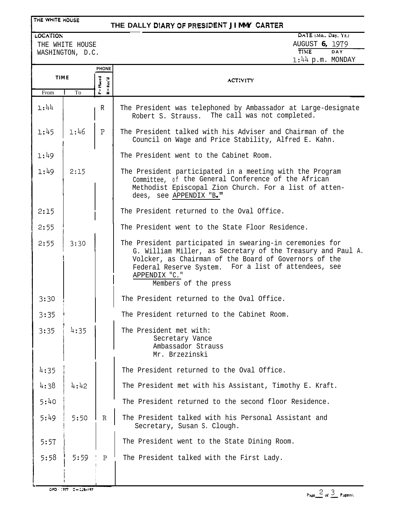## **THE DALLY DIARY OF PRESIDENT JIMMY CARTER**

### LOCATION

THE WHITE HOUSE

# DATE (Mo., Day, Yr.)

| THE WHITE HOUSE<br>WASHINGTON, D.C. |      |                                     | AUGUST 6, 1979<br><b>TIME</b><br>DAY<br>$1:44$ p.m. MONDAY                                                                                                                                                                                                                        |  |
|-------------------------------------|------|-------------------------------------|-----------------------------------------------------------------------------------------------------------------------------------------------------------------------------------------------------------------------------------------------------------------------------------|--|
| <b>TIME</b>                         |      | <b>PHONE</b><br>P = Placed<br>Rec'd | <b>ACTIVITY</b>                                                                                                                                                                                                                                                                   |  |
| From                                | To   |                                     |                                                                                                                                                                                                                                                                                   |  |
| 1:44                                |      | $\mathbb R$                         | The President was telephoned by Ambassador at Large-designate<br>The call was not completed.<br>Robert S. Strauss.                                                                                                                                                                |  |
| 1:45                                | 1:46 | ${\tt P}$                           | The President talked with his Adviser and Chairman of the<br>Council on Wage and Price Stability, Alfred E. Kahn.                                                                                                                                                                 |  |
| 1:49                                |      |                                     | The President went to the Cabinet Room.                                                                                                                                                                                                                                           |  |
| 1:49                                | 2:15 |                                     | The President participated in a meeting with the Program<br>Committee, of the General Conference of the African<br>Methodist Episcopal Zion Church. For a list of atten-<br>dees, see APPENDIX "B."                                                                               |  |
| 2:15                                |      |                                     | The President returned to the Oval Office.                                                                                                                                                                                                                                        |  |
| 2:55                                |      |                                     | The President went to the State Floor Residence.                                                                                                                                                                                                                                  |  |
| 2:55                                | 3:30 |                                     | The President participated in swearing-in ceremonies for<br>G. William Miller, as Secretary of the Treasury and Paul A.<br>Volcker, as Chairman of the Board of Governors of the<br>Federal Reserve System. For a list of attendees, see<br>APPENDIX "C."<br>Members of the press |  |
| 3:30                                |      |                                     | The President returned to the Oval Office.                                                                                                                                                                                                                                        |  |
| 3:35                                |      |                                     | The President returned to the Cabinet Room.                                                                                                                                                                                                                                       |  |
| 3:35                                |      |                                     | The President met with:<br>Secretary Vance<br>Ambassador Strauss<br>Mr. Brzezinski                                                                                                                                                                                                |  |
| 4:35                                |      |                                     | The President returned to the Oval Office.                                                                                                                                                                                                                                        |  |
| 4:38                                | 4:42 |                                     | The President met with his Assistant, Timothy E. Kraft.                                                                                                                                                                                                                           |  |
| 5:40                                |      |                                     | The President returned to the second floor Residence.                                                                                                                                                                                                                             |  |
| 5:49                                | 5:50 | $\mathbb{R}$                        | The President talked with his Personal Assistant and<br>Secretary, Susan S. Clough.                                                                                                                                                                                               |  |

**5:57 <sup>1</sup>** The President went to the State Dining Room.

**5:58 ! 5:5g <sup>I</sup> <sup>I</sup> <sup>j</sup>** The President talked with the First Lady.